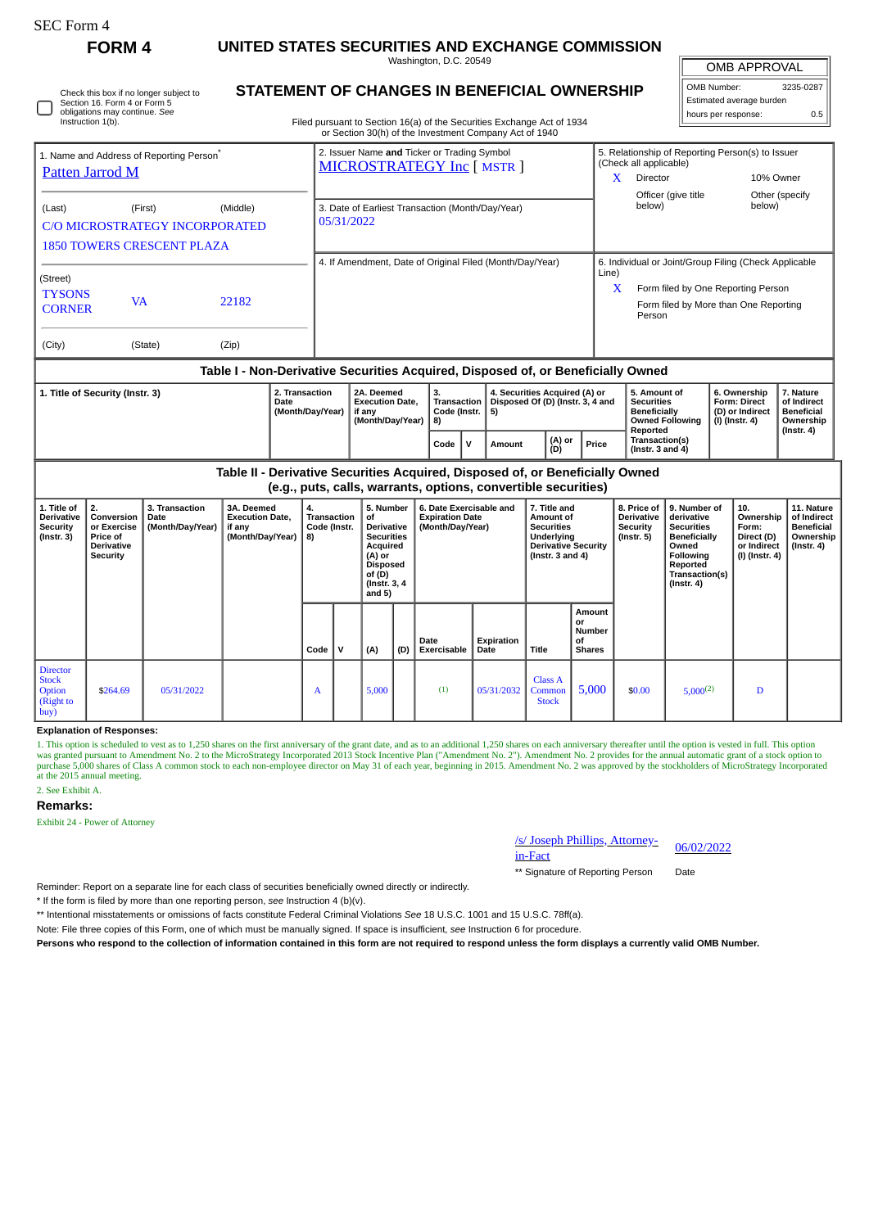| rtt, Form |  |
|-----------|--|
|-----------|--|

# **FORM 4 UNITED STATES SECURITIES AND EXCHANGE COMMISSION**

Washington, D.C. 20549

OMB APPROVAL

| OMB Number:              | 3235-0287 |  |  |  |  |  |  |  |
|--------------------------|-----------|--|--|--|--|--|--|--|
| Estimated average burden |           |  |  |  |  |  |  |  |
| hours per response:      | 0.5       |  |  |  |  |  |  |  |

| Check this box if no longer subject to<br>Section 16. Form 4 or Form 5<br>obligations may continue. See<br>Instruction 1(b). | STATEMENT OF CHANGES IN BENEFICIAL OWNERSHIP<br>Filed pursuant to Section 16(a) of the Securities Exchange Act of 1934<br>or Section 30(h) of the Investment Company Act of 1940 |                           |
|------------------------------------------------------------------------------------------------------------------------------|----------------------------------------------------------------------------------------------------------------------------------------------------------------------------------|---------------------------|
| 1. Name and Address of Reporting Person <sup>*</sup>                                                                         | 2. Issuer Name and Ticker or Trading Symbol<br>$MCDOCTDATECV$ $L_{2}$ $L_{1}$ $cm_{2}$ $1$                                                                                       | 5. Relation<br>(Check all |

| 1. Name and Address of Reporting Person <sup>®</sup><br>Patten Jarrod M |                                              |                                                   | 2. Issuer Name and Ticker or Trading Symbol<br>MICROSTRATEGY Inc [ MSTR ] |                                                          | 5. Relationship of Reporting Person(s) to Issuer<br>(Check all applicable) |                                                                                  |                                                                |                                                                                       |                                                        |                                               |  |
|-------------------------------------------------------------------------|----------------------------------------------|---------------------------------------------------|---------------------------------------------------------------------------|----------------------------------------------------------|----------------------------------------------------------------------------|----------------------------------------------------------------------------------|----------------------------------------------------------------|---------------------------------------------------------------------------------------|--------------------------------------------------------|-----------------------------------------------|--|
|                                                                         |                                              |                                                   |                                                                           |                                                          |                                                                            |                                                                                  | X                                                              | Director<br>Officer (give title                                                       |                                                        | 10% Owner<br>Other (specify                   |  |
| (Last)                                                                  | (First)<br><b>1850 TOWERS CRESCENT PLAZA</b> | (Middle)<br><b>C/O MICROSTRATEGY INCORPORATED</b> | 05/31/2022                                                                | 3. Date of Earliest Transaction (Month/Day/Year)         |                                                                            |                                                                                  |                                                                | below)                                                                                | below)                                                 |                                               |  |
|                                                                         |                                              |                                                   |                                                                           | 4. If Amendment, Date of Original Filed (Month/Day/Year) |                                                                            |                                                                                  | 6. Individual or Joint/Group Filing (Check Applicable<br>Line) |                                                                                       |                                                        |                                               |  |
| (Street)<br><b>TYSONS</b><br><b>CORNER</b>                              | <b>VA</b>                                    | 22182                                             |                                                                           |                                                          |                                                                            |                                                                                  | X                                                              | Form filed by One Reporting Person<br>Form filed by More than One Reporting<br>Person |                                                        |                                               |  |
| (City)                                                                  | (State)                                      | (Zip)                                             |                                                                           |                                                          |                                                                            |                                                                                  |                                                                |                                                                                       |                                                        |                                               |  |
|                                                                         |                                              |                                                   |                                                                           |                                                          |                                                                            | Table I - Non-Derivative Securities Acquired, Disposed of, or Beneficially Owned |                                                                |                                                                                       |                                                        |                                               |  |
| 1. Title of Security (Instr. 3)                                         |                                              |                                                   | 2. Transaction<br>Date<br>(Month/Day/Year)                                | 2A. Deemed<br><b>Execution Date,</b><br>if any           | 3.<br><b>Transaction</b><br>Code (Instr.                                   | 4. Securities Acquired (A) or<br>Disposed Of (D) (Instr. 3, 4 and<br>5)          |                                                                | 5. Amount of<br><b>Securities</b><br><b>Beneficially</b>                              | 6. Ownership<br><b>Form: Direct</b><br>(D) or Indirect | 7. Nature<br>of Indirect<br><b>Beneficial</b> |  |

|      | Date<br>l (Month/Dav/Year) | Execution Date.<br>if anv<br>(Month/Dav/Year) | Code (Instr.<br>  8) |  | Transaction   Disposed Of (D) (Instr. 3, 4 and<br>-51 |               |       | <b>Securities</b><br><b>Beneficially</b><br><b>Owned Following</b><br>Reported | ⊩ ⊩orm: Direct<br>  (D) or Indirect<br>  (I) (Instr. 4) | ι oτ inαirect<br><b>Beneficial</b><br>Ownership<br>$($ lnstr, 4 $)$ |  |
|------|----------------------------|-----------------------------------------------|----------------------|--|-------------------------------------------------------|---------------|-------|--------------------------------------------------------------------------------|---------------------------------------------------------|---------------------------------------------------------------------|--|
|      |                            |                                               | Code                 |  | Amount                                                | (A) or<br>(D) | Price | Transaction(s)<br>$($ lnstr. 3 and 4 $)$                                       |                                                         |                                                                     |  |
| ____ |                            |                                               |                      |  |                                                       |               |       |                                                                                |                                                         |                                                                     |  |

**Table II - Derivative Securities Acquired, Disposed of, or Beneficially Owned (e.g., puts, calls, warrants, options, convertible securities)**

| 1. Title of<br><b>Derivative</b><br><b>Security</b><br>$($ Instr. 3 $)$ | 2.<br>Conversion<br>or Exercise<br><b>Price of</b><br>Derivative<br>Security | 3. Transaction<br>Date<br>(Month/Day/Year) | 3A. Deemed<br><b>Execution Date,</b><br>if any<br>(Month/Day/Year)   8) | 4.<br>Transaction<br>Code (Instr. |   | 5. Number<br>of<br>Derivative<br><b>Securities</b><br>Acquired<br>(A) or<br><b>Disposed</b><br>of (D)<br>(Instr. 3, 4<br>and $5)$ |     | 6. Date Exercisable and<br><b>Expiration Date</b><br>(Month/Day/Year) |                    | 7. Title and<br>Amount of<br><b>Securities</b><br>Underlying<br><b>Derivative Security</b><br>(Instr. $3$ and $4$ ) |                                               | 8. Price of<br><b>Derivative</b><br>Security<br>(Instr. 5) | 9. Number of<br>derivative<br><b>Securities</b><br>Beneficially<br>Owned<br><b>Following</b><br>Reported<br>Transaction(s)<br>$($ Instr. 4 $)$ | 10.<br>Ownership<br>Form:<br>Direct (D)<br>or Indirect<br>(I) (Instr. 4) | 11. Nature<br>of Indirect<br><b>Beneficial</b><br>Ownership<br>(Instr. 4) |
|-------------------------------------------------------------------------|------------------------------------------------------------------------------|--------------------------------------------|-------------------------------------------------------------------------|-----------------------------------|---|-----------------------------------------------------------------------------------------------------------------------------------|-----|-----------------------------------------------------------------------|--------------------|---------------------------------------------------------------------------------------------------------------------|-----------------------------------------------|------------------------------------------------------------|------------------------------------------------------------------------------------------------------------------------------------------------|--------------------------------------------------------------------------|---------------------------------------------------------------------------|
|                                                                         |                                                                              |                                            |                                                                         | Code                              | v | (A)                                                                                                                               | (D) | Date<br>Exercisable                                                   | Expiration<br>Date | <b>Title</b>                                                                                                        | Amount<br>or<br>Number<br>of<br><b>Shares</b> |                                                            |                                                                                                                                                |                                                                          |                                                                           |
| <b>Director</b><br><b>Stock</b><br>Option<br>(Right to<br>buy)          | \$264.69                                                                     | 05/31/2022                                 |                                                                         | A                                 |   | 5,000                                                                                                                             |     | (1)                                                                   | 05/31/2032         | <b>Class A</b><br>Common<br><b>Stock</b>                                                                            | 5,000                                         | \$0.00                                                     | $5,000^{(2)}$                                                                                                                                  | D                                                                        |                                                                           |

**Explanation of Responses:**

1. This option is scheduled to vest as to 1,250 shares on the first anniversary of the grant date, and as to an additional 1,250 shares on each anniversary thereafter until the option is vested in full. This option to<br>was at the 2015 annual meeting.

## 2. See Exhibit A.

### **Remarks:**

Exhibit 24 - Power of Attorney



\*\* Signature of Reporting Person Date

Reminder: Report on a separate line for each class of securities beneficially owned directly or indirectly.

\* If the form is filed by more than one reporting person, *see* Instruction 4 (b)(v).

\*\* Intentional misstatements or omissions of facts constitute Federal Criminal Violations *See* 18 U.S.C. 1001 and 15 U.S.C. 78ff(a).

Note: File three copies of this Form, one of which must be manually signed. If space is insufficient, *see* Instruction 6 for procedure.

**Persons who respond to the collection of information contained in this form are not required to respond unless the form displays a currently valid OMB Number.**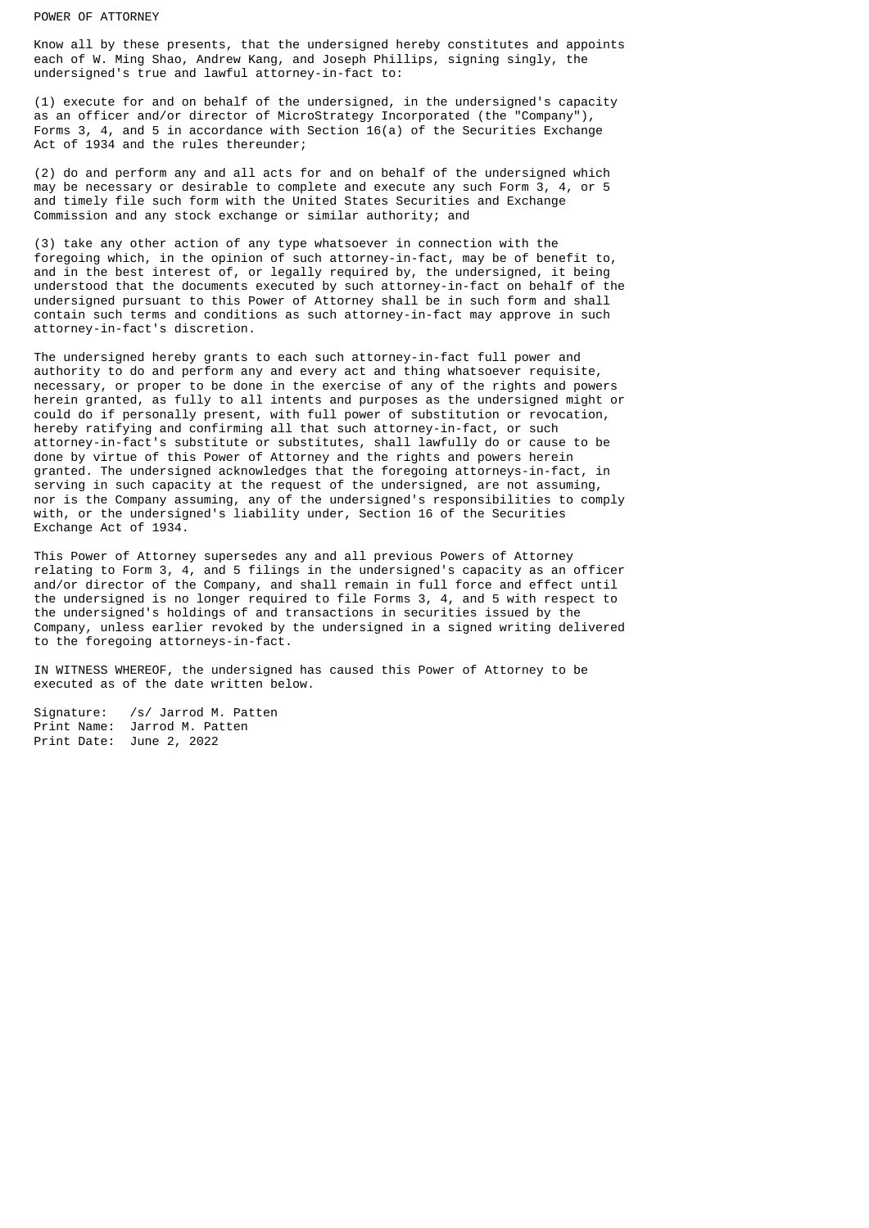#### POWER OF ATTORNEY

Know all by these presents, that the undersigned hereby constitutes and appoints each of W. Ming Shao, Andrew Kang, and Joseph Phillips, signing singly, the undersigned's true and lawful attorney-in-fact to:

(1) execute for and on behalf of the undersigned, in the undersigned's capacity as an officer and/or director of MicroStrategy Incorporated (the "Company"), Forms 3, 4, and 5 in accordance with Section 16(a) of the Securities Exchange Act of 1934 and the rules thereunder;

(2) do and perform any and all acts for and on behalf of the undersigned which may be necessary or desirable to complete and execute any such Form 3, 4, or 5 and timely file such form with the United States Securities and Exchange Commission and any stock exchange or similar authority; and

(3) take any other action of any type whatsoever in connection with the foregoing which, in the opinion of such attorney-in-fact, may be of benefit to, and in the best interest of, or legally required by, the undersigned, it being understood that the documents executed by such attorney-in-fact on behalf of the undersigned pursuant to this Power of Attorney shall be in such form and shall contain such terms and conditions as such attorney-in-fact may approve in such attorney-in-fact's discretion.

The undersigned hereby grants to each such attorney-in-fact full power and authority to do and perform any and every act and thing whatsoever requisite, necessary, or proper to be done in the exercise of any of the rights and powers herein granted, as fully to all intents and purposes as the undersigned might or could do if personally present, with full power of substitution or revocation, hereby ratifying and confirming all that such attorney-in-fact, or such attorney-in-fact's substitute or substitutes, shall lawfully do or cause to be done by virtue of this Power of Attorney and the rights and powers herein granted. The undersigned acknowledges that the foregoing attorneys-in-fact, in serving in such capacity at the request of the undersigned, are not assuming, nor is the Company assuming, any of the undersigned's responsibilities to comply with, or the undersigned's liability under, Section 16 of the Securities Exchange Act of 1934.

This Power of Attorney supersedes any and all previous Powers of Attorney relating to Form 3, 4, and 5 filings in the undersigned's capacity as an officer and/or director of the Company, and shall remain in full force and effect until the undersigned is no longer required to file Forms 3, 4, and 5 with respect to the undersigned's holdings of and transactions in securities issued by the Company, unless earlier revoked by the undersigned in a signed writing delivered to the foregoing attorneys-in-fact.

IN WITNESS WHEREOF, the undersigned has caused this Power of Attorney to be executed as of the date written below.

Signature: /s/ Jarrod M. Patten Print Name: Jarrod M. Patten Print Date: June 2, 2022